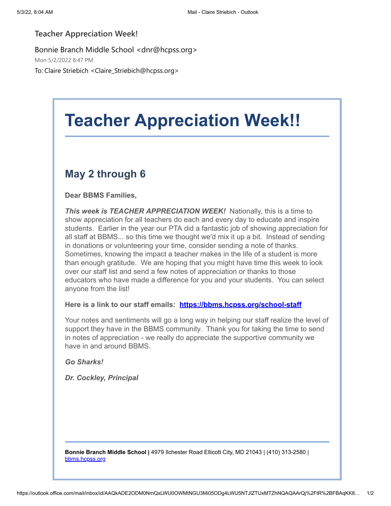## **Teacher Appreciation Week!**

Bonnie Branch Middle School <dnr@hcpss.org> Mon 5/2/2022 8:47 PM To: Claire Striebich <Claire\_Striebich@hcpss.org>

## **Teacher Appreciation Week!!**

## **May 2 through 6**

**Dear BBMS Families,**

*This week is TEACHER APPRECIATION WEEK!* Nationally, this is a time to show appreciation for all teachers do each and every day to educate and inspire students. Earlier in the year our PTA did a fantastic job of showing appreciation for all staff at BBMS... so this time we thought we'd mix it up a bit. Instead of sending in donations or volunteering your time, consider sending a note of thanks. Sometimes, knowing the impact a teacher makes in the life of a student is more than enough gratitude. We are hoping that you might have time this week to look over our staff list and send a few notes of appreciation or thanks to those educators who have made a difference for you and your students. You can select anyone from the list!

## **Here is a link to our staff emails: [https://bbms.hcpss.org/school-staff](https://nam10.safelinks.protection.outlook.com/?url=http%3A%2F%2Ftrack.spe.schoolmessenger.com%2Ff%2Fa%2FV5fHyl79o3rLqr0Y1Rdz1A~~%2FAAAAAQA~%2FRgRkUa8IP0QjaHR0cHM6Ly9iYm1zLmhjcHNzLm9yZy9zY2hvb2wtc3RhZmZXB3NjaG9vbG1CCmJwiHtwYgFTLxNSGmNsYWlyZV9zdHJpZWJpY2hAaGNwc3Mub3JnWAQAAAAB&data=05%7C01%7Cclaire_striebich%40hcpss.org%7C39086b0731674b8d0e8208da2c9e71b2%7C96a9ac4c477e4dada2b28ad3fc46790b%7C1%7C0%7C637871356269153322%7CUnknown%7CTWFpbGZsb3d8eyJWIjoiMC4wLjAwMDAiLCJQIjoiV2luMzIiLCJBTiI6Ik1haWwiLCJXVCI6Mn0%3D%7C3000%7C%7C%7C&sdata=uhY4%2BM4bb5uO5UtPvg%2BKz5UZdiKrHDAdqc9PFNjAl1Y%3D&reserved=0)**

Your notes and sentiments will go a long way in helping our staff realize the level of support they have in the BBMS community. Thank you for taking the time to send in notes of appreciation - we really do appreciate the supportive community we have in and around BBMS.

*Go Sharks!*

*Dr. Cockley, Principal*

**Bonnie Branch Middle School |** 4979 Ilchester Road Ellicott City, MD 21043 | (410) 313-2580 | [bbms.hcpss.org](https://nam10.safelinks.protection.outlook.com/?url=http%3A%2F%2Ftrack.spe.schoolmessenger.com%2Ff%2Fa%2Fx6QpcQo_VBGh04ovEZ2NhQ~~%2FAAAAAQA~%2FRgRkUa8IP0QWaHR0cDovL2JibXMuaGNwc3Mub3JnL1cHc2Nob29sbUIKYnCIe3BiAVMvE1IaY2xhaXJlX3N0cmllYmljaEBoY3Bzcy5vcmdYBAAAAAE~&data=05%7C01%7Cclaire_striebich%40hcpss.org%7C39086b0731674b8d0e8208da2c9e71b2%7C96a9ac4c477e4dada2b28ad3fc46790b%7C1%7C0%7C637871356269153322%7CUnknown%7CTWFpbGZsb3d8eyJWIjoiMC4wLjAwMDAiLCJQIjoiV2luMzIiLCJBTiI6Ik1haWwiLCJXVCI6Mn0%3D%7C3000%7C%7C%7C&sdata=UJRHwTi8hC6KsMuFWVEPqX43v5obLV%2BwcnfFvr9FWpg%3D&reserved=0)